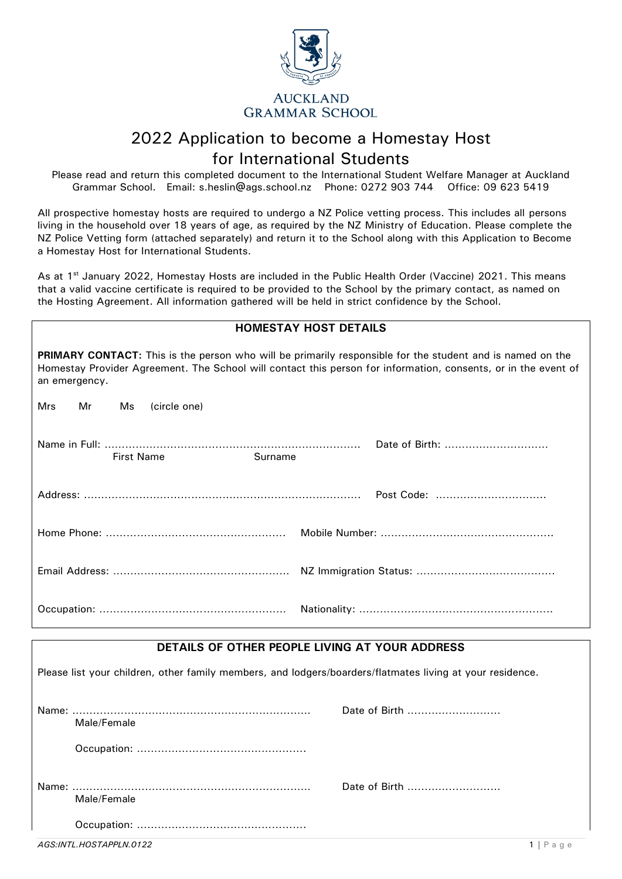

# 2022 Application to become a Homestay Host for International Students

Please read and return this completed document to the International Student Welfare Manager at Auckland Grammar School. Email: [s.heslin@ags.school.nz](mailto:s.heslin@ags.school.nz) Phone: 0272 903 744 Office: 09 623 5419

All prospective homestay hosts are required to undergo a NZ Police vetting process. This includes all persons living in the household over 18 years of age, as required by the NZ Ministry of Education. Please complete the NZ Police Vetting form (attached separately) and return it to the School along with this Application to Become a Homestay Host for International Students.

As at 1<sup>st</sup> January 2022, Homestay Hosts are included in the Public Health Order (Vaccine) 2021. This means that a valid vaccine certificate is required to be provided to the School by the primary contact, as named on the Hosting Agreement. All information gathered will be held in strict confidence by the School.

| <b>HOMESTAY HOST DETAILS</b>                                                                                                                                                                                                                        |                |  |
|-----------------------------------------------------------------------------------------------------------------------------------------------------------------------------------------------------------------------------------------------------|----------------|--|
| <b>PRIMARY CONTACT:</b> This is the person who will be primarily responsible for the student and is named on the<br>Homestay Provider Agreement. The School will contact this person for information, consents, or in the event of<br>an emergency. |                |  |
| Mrs<br>Mr<br>(circle one)<br>Ms                                                                                                                                                                                                                     |                |  |
| <b>First Name</b><br>Surname                                                                                                                                                                                                                        | Date of Birth: |  |
|                                                                                                                                                                                                                                                     |                |  |
|                                                                                                                                                                                                                                                     |                |  |
|                                                                                                                                                                                                                                                     |                |  |
|                                                                                                                                                                                                                                                     |                |  |

### **DETAILS OF OTHER PEOPLE LIVING AT YOUR ADDRESS**

Please list your children, other family members, and lodgers/boarders/flatmates living at your residence. Name: …………………………………………………………… Date of Birth ……………………… Male/Female Occupation: …………………………………………. Name: …………………………………………………………… Date of Birth ……………………… Male/Female Occupation: ………………………………………….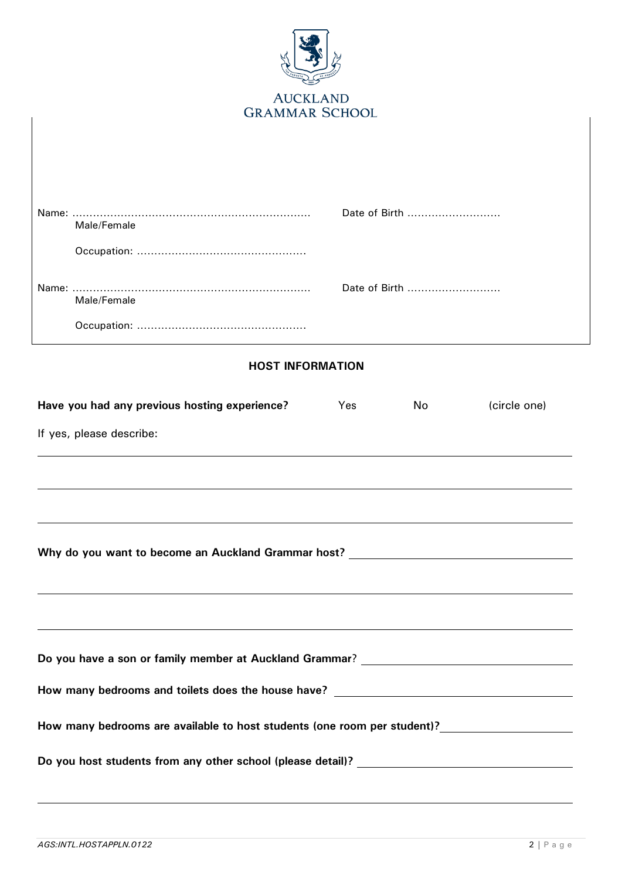| <b>AUCKLAND</b><br><b>GRAMMAR SCHOOL</b>                                                                                                                              |  |  |  |
|-----------------------------------------------------------------------------------------------------------------------------------------------------------------------|--|--|--|
|                                                                                                                                                                       |  |  |  |
| Date of Birth<br>Male/Female                                                                                                                                          |  |  |  |
|                                                                                                                                                                       |  |  |  |
| Date of Birth<br>Male/Female                                                                                                                                          |  |  |  |
|                                                                                                                                                                       |  |  |  |
| <b>HOST INFORMATION</b>                                                                                                                                               |  |  |  |
| Have you had any previous hosting experience?<br>(circle one)<br>Yes<br><b>No</b>                                                                                     |  |  |  |
| If yes, please describe:                                                                                                                                              |  |  |  |
|                                                                                                                                                                       |  |  |  |
| Why do you want to become an Auckland Grammar host? _____________________________<br>,我们也不会有什么。""我们的人,我们也不会有什么?""我们的人,我们也不会有什么?""我们的人,我们也不会有什么?""我们的人,我们也不会有什么?""我们的人 |  |  |  |
| ,我们也不会有什么。""我们的人,我们也不会有什么?""我们的人,我们也不会有什么?""我们的人,我们也不会有什么?""我们的人,我们也不会有什么?""我们的人                                                                                      |  |  |  |
| Do you have a son or family member at Auckland Grammar? _________________________                                                                                     |  |  |  |
| How many bedrooms and toilets does the house have? ______________________________                                                                                     |  |  |  |
|                                                                                                                                                                       |  |  |  |
|                                                                                                                                                                       |  |  |  |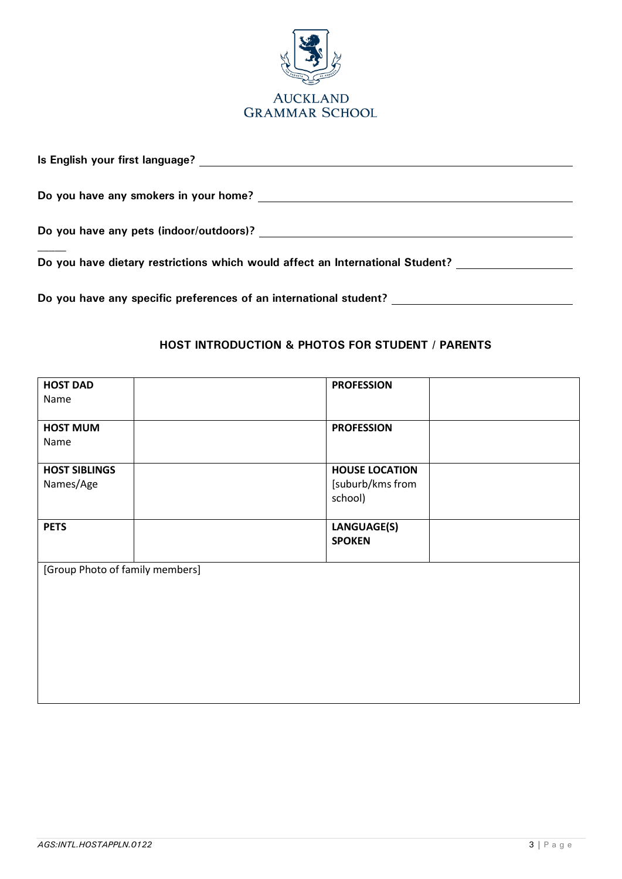

| Is English your first language? The state of the state of the state of the state of the state of the state of the state of the state of the state of the state of the state of the state of the state of the state of the stat |  |
|--------------------------------------------------------------------------------------------------------------------------------------------------------------------------------------------------------------------------------|--|
| Do you have any smokers in your home?                                                                                                                                                                                          |  |
| Do you have any pets (indoor/outdoors)?                                                                                                                                                                                        |  |
| Do you have dietary restrictions which would affect an International Student?                                                                                                                                                  |  |
| Do you have any specific preferences of an international student?                                                                                                                                                              |  |

### **HOST INTRODUCTION & PHOTOS FOR STUDENT / PARENTS**

| <b>HOST DAD</b>                 | <b>PROFESSION</b>     |
|---------------------------------|-----------------------|
| Name                            |                       |
|                                 |                       |
| <b>HOST MUM</b>                 | <b>PROFESSION</b>     |
| Name                            |                       |
| <b>HOST SIBLINGS</b>            | <b>HOUSE LOCATION</b> |
| Names/Age                       | [suburb/kms from      |
|                                 | school)               |
|                                 |                       |
| <b>PETS</b>                     | LANGUAGE(S)           |
|                                 | <b>SPOKEN</b>         |
|                                 |                       |
| [Group Photo of family members] |                       |
|                                 |                       |
|                                 |                       |
|                                 |                       |
|                                 |                       |
|                                 |                       |
|                                 |                       |
|                                 |                       |
|                                 |                       |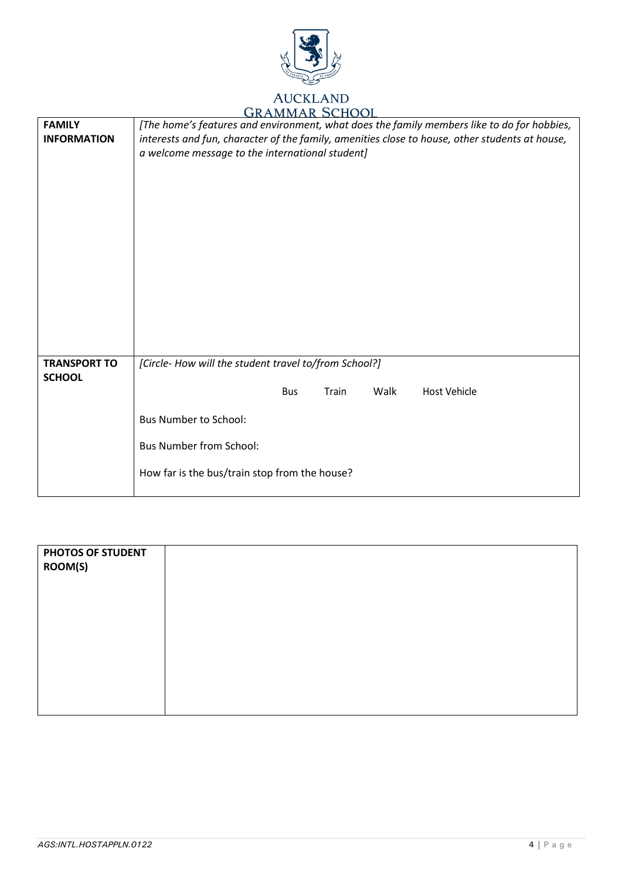

## **GRAMMAR SCHOOL**

| <b>FAMILY</b><br><b>INFORMATION</b>  | [The home's features and environment, what does the family members like to do for hobbies,<br>interests and fun, character of the family, amenities close to house, other students at house,<br>a welcome message to the international student] |
|--------------------------------------|-------------------------------------------------------------------------------------------------------------------------------------------------------------------------------------------------------------------------------------------------|
| <b>TRANSPORT TO</b><br><b>SCHOOL</b> | [Circle- How will the student travel to/from School?]<br>Walk<br>Train<br><b>Host Vehicle</b><br><b>Bus</b><br><b>Bus Number to School:</b><br><b>Bus Number from School:</b><br>How far is the bus/train stop from the house?                  |

| PHOTOS OF STUDENT<br>ROOM(S) |  |
|------------------------------|--|
|                              |  |
|                              |  |
|                              |  |
|                              |  |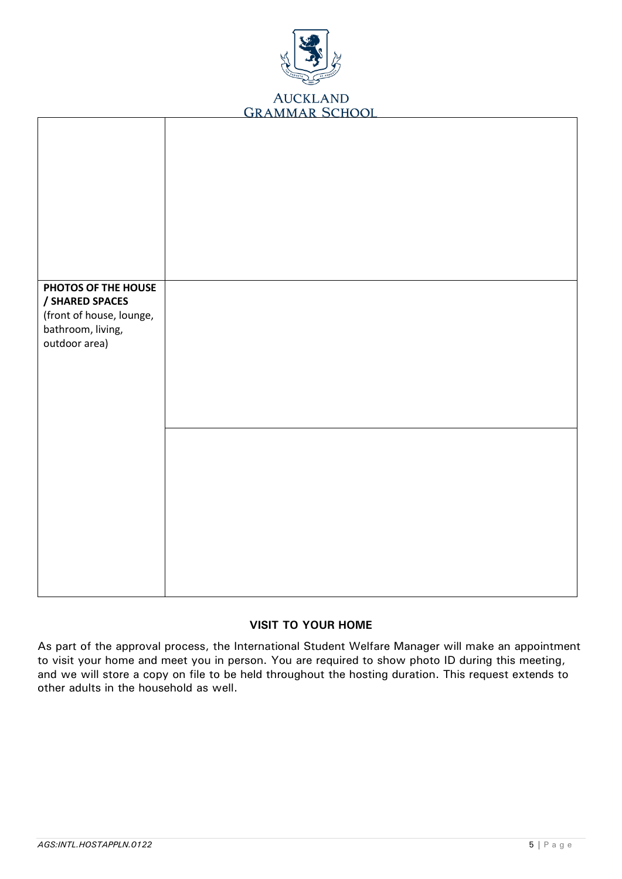

| PHOTOS OF THE HOUSE                           |  |
|-----------------------------------------------|--|
| / SHARED SPACES                               |  |
| (front of house, lounge,<br>bathroom, living, |  |
| outdoor area)                                 |  |
|                                               |  |
|                                               |  |
|                                               |  |
|                                               |  |
|                                               |  |
|                                               |  |
|                                               |  |
|                                               |  |
|                                               |  |
|                                               |  |
|                                               |  |

### **VISIT TO YOUR HOME**

As part of the approval process, the International Student Welfare Manager will make an appointment to visit your home and meet you in person. You are required to show photo ID during this meeting, and we will store a copy on file to be held throughout the hosting duration. This request extends to other adults in the household as well.